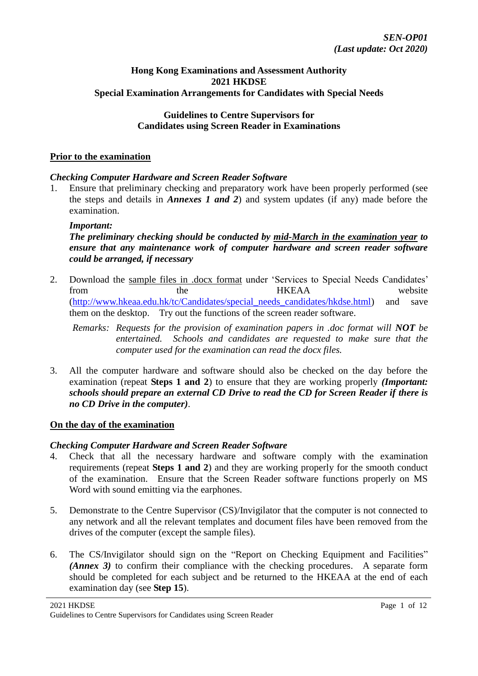### **Hong Kong Examinations and Assessment Authority 2021 HKDSE Special Examination Arrangements for Candidates with Special Needs**

## **Guidelines to Centre Supervisors for Candidates using Screen Reader in Examinations**

#### **Prior to the examination**

## *Checking Computer Hardware and Screen Reader Software*

1. Ensure that preliminary checking and preparatory work have been properly performed (see the steps and details in *Annexes 1 and 2*) and system updates (if any) made before the examination.

#### *Important:*

## *The preliminary checking should be conducted by mid-March in the examination year to ensure that any maintenance work of computer hardware and screen reader software could be arranged, if necessary*

2. Download the sample files in .docx format under 'Services to Special Needs Candidates' from the the HKEAA website [\(http://www.hkeaa.edu.hk/tc/Candidates/special\\_needs\\_candidates/hkdse.html\)](http://www.hkeaa.edu.hk/tc/Candidates/special_needs_candidates/hkdse.html) and save them on the desktop. Try out the functions of the screen reader software.

*Remarks: Requests for the provision of examination papers in .doc format will NOT be entertained. Schools and candidates are requested to make sure that the computer used for the examination can read the docx files.*

3. All the computer hardware and software should also be checked on the day before the examination (repeat **Steps 1 and 2**) to ensure that they are working properly *(Important: schools should prepare an external CD Drive to read the CD for Screen Reader if there is no CD Drive in the computer)*.

## **On the day of the examination**

## *Checking Computer Hardware and Screen Reader Software*

- 4. Check that all the necessary hardware and software comply with the examination requirements (repeat **Steps 1 and 2**) and they are working properly for the smooth conduct of the examination. Ensure that the Screen Reader software functions properly on MS Word with sound emitting via the earphones.
- 5. Demonstrate to the Centre Supervisor (CS)/Invigilator that the computer is not connected to any network and all the relevant templates and document files have been removed from the drives of the computer (except the sample files).
- 6. The CS/Invigilator should sign on the "Report on Checking Equipment and Facilities" *(Annex 3)* to confirm their compliance with the checking procedures. A separate form should be completed for each subject and be returned to the HKEAA at the end of each examination day (see **Step 15**).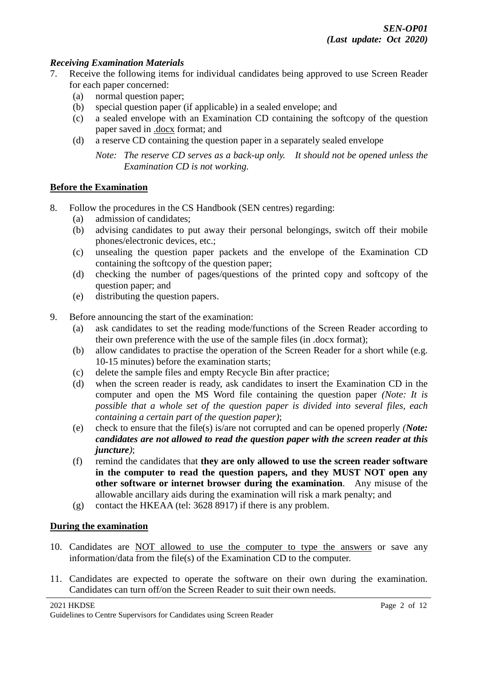## *Receiving Examination Materials*

- 7. Receive the following items for individual candidates being approved to use Screen Reader for each paper concerned:
	- (a) normal question paper;
	- (b) special question paper (if applicable) in a sealed envelope; and
	- (c) a sealed envelope with an Examination CD containing the softcopy of the question paper saved in .docx format; and
	- (d) a reserve CD containing the question paper in a separately sealed envelope

*Note: The reserve CD serves as a back-up only. It should not be opened unless the Examination CD is not working.*

## **Before the Examination**

- 8. Follow the procedures in the CS Handbook (SEN centres) regarding:
	- (a) admission of candidates;
	- (b) advising candidates to put away their personal belongings, switch off their mobile phones/electronic devices, etc.;
	- (c) unsealing the question paper packets and the envelope of the Examination CD containing the softcopy of the question paper;
	- (d) checking the number of pages/questions of the printed copy and softcopy of the question paper; and
	- (e) distributing the question papers.
- 9. Before announcing the start of the examination:
	- (a) ask candidates to set the reading mode/functions of the Screen Reader according to their own preference with the use of the sample files (in .docx format);
	- (b) allow candidates to practise the operation of the Screen Reader for a short while (e.g. 10-15 minutes) before the examination starts;
	- (c) delete the sample files and empty Recycle Bin after practice;
	- (d) when the screen reader is ready, ask candidates to insert the Examination CD in the computer and open the MS Word file containing the question paper *(Note: It is possible that a whole set of the question paper is divided into several files, each containing a certain part of the question paper)*;
	- (e) check to ensure that the file(s) is/are not corrupted and can be opened properly *(Note: candidates are not allowed to read the question paper with the screen reader at this juncture)*;
	- (f) remind the candidates that **they are only allowed to use the screen reader software in the computer to read the question papers, and they MUST NOT open any other software or internet browser during the examination**. Any misuse of the allowable ancillary aids during the examination will risk a mark penalty; and
	- (g) contact the HKEAA (tel: 3628 8917) if there is any problem.

## **During the examination**

- 10. Candidates are NOT allowed to use the computer to type the answers or save any information/data from the file(s) of the Examination CD to the computer.
- 11. Candidates are expected to operate the software on their own during the examination. Candidates can turn off/on the Screen Reader to suit their own needs.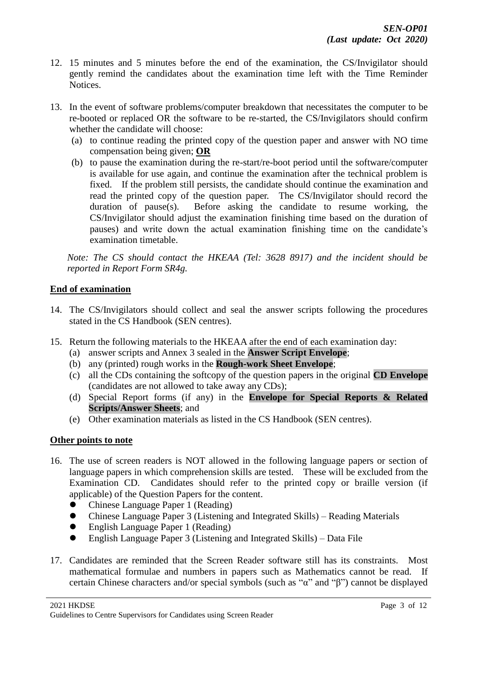- 12. 15 minutes and 5 minutes before the end of the examination, the CS/Invigilator should gently remind the candidates about the examination time left with the Time Reminder Notices.
- 13. In the event of software problems/computer breakdown that necessitates the computer to be re-booted or replaced OR the software to be re-started, the CS/Invigilators should confirm whether the candidate will choose:
	- (a) to continue reading the printed copy of the question paper and answer with NO time compensation being given; **OR**
	- (b) to pause the examination during the re-start/re-boot period until the software/computer is available for use again, and continue the examination after the technical problem is fixed. If the problem still persists, the candidate should continue the examination and read the printed copy of the question paper. The CS/Invigilator should record the duration of pause(s). Before asking the candidate to resume working, the CS/Invigilator should adjust the examination finishing time based on the duration of pauses) and write down the actual examination finishing time on the candidate's examination timetable.

*Note: The CS should contact the HKEAA (Tel: 3628 8917) and the incident should be reported in Report Form SR4g.* 

# **End of examination**

- 14. The CS/Invigilators should collect and seal the answer scripts following the procedures stated in the CS Handbook (SEN centres).
- 15. Return the following materials to the HKEAA after the end of each examination day:
	- (a) answer scripts and Annex 3 sealed in the **Answer Script Envelope**;
	- (b) any (printed) rough works in the **Rough-work Sheet Envelope**;
	- (c) all the CDs containing the softcopy of the question papers in the original **CD Envelope** (candidates are not allowed to take away any CDs);
	- (d) Special Report forms (if any) in the **Envelope for Special Reports & Related Scripts/Answer Sheets**; and
	- (e) Other examination materials as listed in the CS Handbook (SEN centres).

# **Other points to note**

- 16. The use of screen readers is NOT allowed in the following language papers or section of language papers in which comprehension skills are tested. These will be excluded from the Examination CD. Candidates should refer to the printed copy or braille version (if applicable) of the Question Papers for the content.
	- ⚫ Chinese Language Paper 1 (Reading)
	- Chinese Language Paper 3 (Listening and Integrated Skills) Reading Materials
	- ⚫ English Language Paper 1 (Reading)
	- ⚫ English Language Paper 3 (Listening and Integrated Skills) Data File
- 17. Candidates are reminded that the Screen Reader software still has its constraints. Most mathematical formulae and numbers in papers such as Mathematics cannot be read. If certain Chinese characters and/or special symbols (such as "α" and "β") cannot be displayed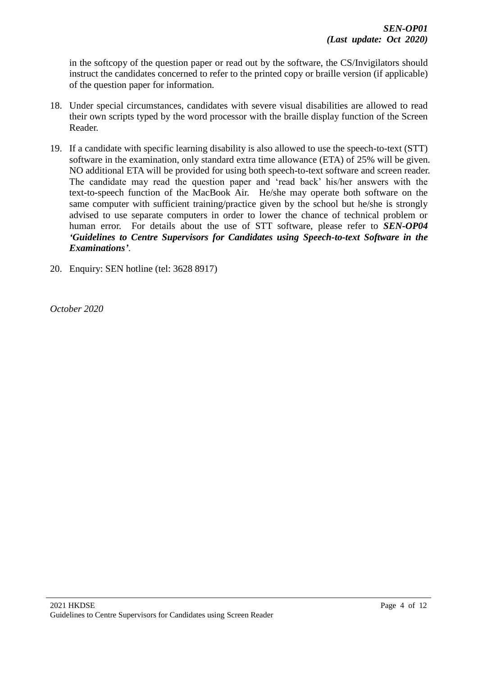in the softcopy of the question paper or read out by the software, the CS/Invigilators should instruct the candidates concerned to refer to the printed copy or braille version (if applicable) of the question paper for information.

- 18. Under special circumstances, candidates with severe visual disabilities are allowed to read their own scripts typed by the word processor with the braille display function of the Screen Reader.
- 19. If a candidate with specific learning disability is also allowed to use the speech-to-text (STT) software in the examination, only standard extra time allowance (ETA) of 25% will be given. NO additional ETA will be provided for using both speech-to-text software and screen reader. The candidate may read the question paper and 'read back' his/her answers with the text-to-speech function of the MacBook Air. He/she may operate both software on the same computer with sufficient training/practice given by the school but he/she is strongly advised to use separate computers in order to lower the chance of technical problem or human error. For details about the use of STT software, please refer to *SEN-OP04 'Guidelines to Centre Supervisors for Candidates using Speech-to-text Software in the Examinations'*.
- 20. Enquiry: SEN hotline (tel: 3628 8917)

*October 2020*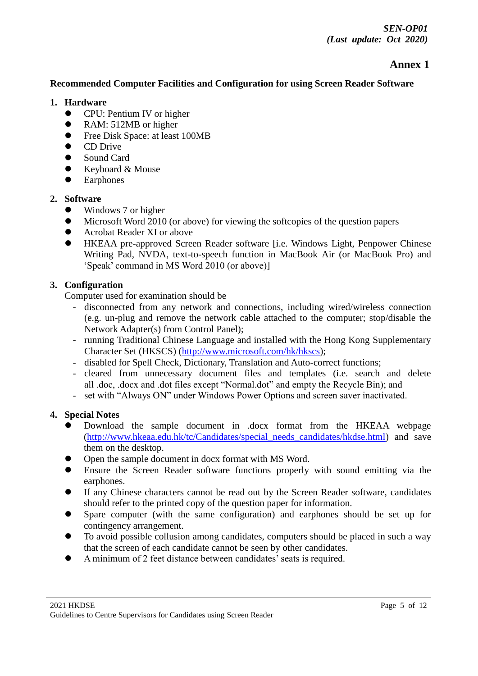# **Annex 1**

# **Recommended Computer Facilities and Configuration for using Screen Reader Software**

### **1. Hardware**

- CPU: Pentium IV or higher
- RAM: 512MB or higher
- Free Disk Space: at least 100MB
- ⚫ CD Drive
- Sound Card
- ⚫ Keyboard & Mouse
- Earphones

# **2. Software**

- Windows 7 or higher
- ⚫ Microsoft Word 2010 (or above) for viewing the softcopies of the question papers
- Acrobat Reader XI or above
- ⚫ HKEAA pre-approved Screen Reader software [i.e. Windows Light, Penpower Chinese Writing Pad, NVDA, text-to-speech function in MacBook Air (or MacBook Pro) and 'Speak' command in MS Word 2010 (or above)]

# **3. Configuration**

Computer used for examination should be

- disconnected from any network and connections, including wired/wireless connection (e.g. un-plug and remove the network cable attached to the computer; stop/disable the Network Adapter(s) from Control Panel);
- running Traditional Chinese Language and installed with the Hong Kong Supplementary Character Set (HKSCS) [\(http://www.microsoft.com/hk/hkscs\)](http://www.microsoft.com/hk/hkscs);
- disabled for Spell Check, Dictionary, Translation and Auto-correct functions;
- cleared from unnecessary document files and templates (i.e. search and delete all .doc, .docx and .dot files except "Normal.dot" and empty the Recycle Bin); and
- set with "Always ON" under Windows Power Options and screen saver inactivated.

## **4. Special Notes**

- ⚫ Download the sample document in .docx format from the HKEAA webpage [\(http://www.hkeaa.edu.hk/tc/Candidates/special\\_needs\\_candidates/hkdse.html\)](http://www.hkeaa.edu.hk/tc/Candidates/special_needs_candidates/hkdse.html) and save them on the desktop.
- ⚫ Open the sample document in docx format with MS Word.
- ⚫ Ensure the Screen Reader software functions properly with sound emitting via the earphones.
- ⚫ If any Chinese characters cannot be read out by the Screen Reader software, candidates should refer to the printed copy of the question paper for information.
- ⚫ Spare computer (with the same configuration) and earphones should be set up for contingency arrangement.
- ⚫ To avoid possible collusion among candidates, computers should be placed in such a way that the screen of each candidate cannot be seen by other candidates.
- ⚫ A minimum of 2 feet distance between candidates' seats is required.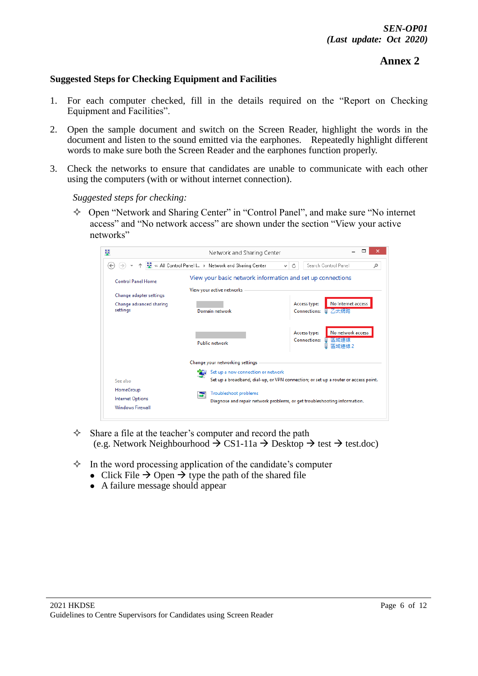# **Annex 2**

## **Suggested Steps for Checking Equipment and Facilities**

- 1. For each computer checked, fill in the details required on the "Report on Checking Equipment and Facilities".
- 2. Open the sample document and switch on the Screen Reader, highlight the words in the document and listen to the sound emitted via the earphones. Repeatedly highlight different words to make sure both the Screen Reader and the earphones function properly.
- 3. Check the networks to ensure that candidates are unable to communicate with each other using the computers (with or without internet connection).

*Suggested steps for checking:*

 $\Diamond$  Open "Network and Sharing Center" in "Control Panel", and make sure "No internet access" and "No network access" are shown under the section "View your active networks"



- $\Diamond$  Share a file at the teacher's computer and record the path (e.g. Network Neighbourhood  $\rightarrow$  CS1-11a  $\rightarrow$  Desktop  $\rightarrow$  test  $\rightarrow$  test.doc)
- $\Diamond$  In the word processing application of the candidate's computer
	- Click File  $\rightarrow$  Open  $\rightarrow$  type the path of the shared file
	- ⚫ A failure message should appear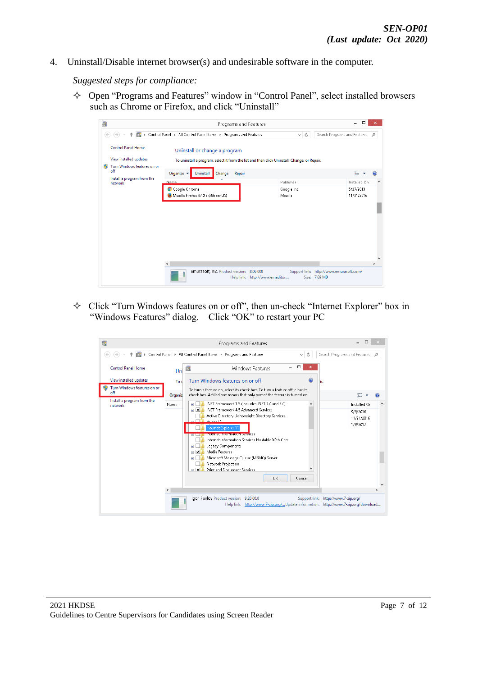4. Uninstall/Disable internet browser(s) and undesirable software in the computer.

*Suggested steps for compliance:*

 Open "Programs and Features" window in "Control Panel", select installed browsers such as Chrome or Firefox, and click "Uninstall"

| $\overline{\mathbf{a}}$               | Programs and Features                                                                        |                                         | □<br>×                            |
|---------------------------------------|----------------------------------------------------------------------------------------------|-----------------------------------------|-----------------------------------|
| (∉                                    | > Control Panel > All Control Panel Items > Programs and Features                            | Ċ<br>$\checkmark$                       | Search Programs and Features<br>Ω |
| <b>Control Panel Home</b>             | Uninstall or change a program                                                                |                                         |                                   |
| View installed updates                | To uninstall a program, select it from the list and then click Uninstall, Change, or Repair. |                                         |                                   |
| Turn Windows features on or<br>off    | Organize v<br>Uninstall<br>Change<br>Repair                                                  |                                         | 988 -                             |
| Install a program from the<br>network | ×<br><b>Name</b>                                                                             | Publisher                               | Installed On                      |
|                                       | <b>Google Chrome</b><br>Mozilla Firefox 47.0.2 (x86 en-US)                                   | Google Inc.<br>Mozilla                  | 5/27/2013<br>11/21/2016           |
|                                       |                                                                                              |                                         |                                   |
|                                       |                                                                                              |                                         |                                   |
|                                       |                                                                                              |                                         |                                   |
|                                       |                                                                                              |                                         |                                   |
|                                       | $\epsilon$                                                                                   |                                         | $\rightarrow$                     |
|                                       | Emurasoft, Inc. Product version: 8.06.000                                                    | Support link: http://www.emurasoft.com/ |                                   |

 $\Diamond$  Click "Turn Windows features on or off", then un-check "Internet Explorer" box in "Windows Features" dialog. Click "OK" to restart your PC

| 圓                                                            | Programs and Features                                                                                                                                                                                                                                                                                                                                                                                                                                                                                                       |                                                                           |
|--------------------------------------------------------------|-----------------------------------------------------------------------------------------------------------------------------------------------------------------------------------------------------------------------------------------------------------------------------------------------------------------------------------------------------------------------------------------------------------------------------------------------------------------------------------------------------------------------------|---------------------------------------------------------------------------|
| b.                                                           | Control Panel > All Control Panel Items > Programs and Features<br>Ċ<br>$\mathcal{M}$ .                                                                                                                                                                                                                                                                                                                                                                                                                                     | Search Programs and Features<br>$\Omega$                                  |
| <b>Control Panel Home</b>                                    | $\Box$<br>$\Box$<br>Windows Features<br>Uni                                                                                                                                                                                                                                                                                                                                                                                                                                                                                 |                                                                           |
| View installed updates<br>Turn Windows features on or<br>off | Turn Windows features on or off<br>Tou<br>To turn a feature on, select its check box. To turn a feature off, clear its<br>check box. A filled box means that only part of the feature is turned on.<br>Organiz                                                                                                                                                                                                                                                                                                              | нr.<br>胆                                                                  |
| Install a program from the<br>network                        | .NET Framework 3.5 (includes .NET 2.0 and 3.0)<br>Name<br>.NET Framework 4.5 Advanced Services<br>l m<br>$\overline{+}$<br>Active Directory Lightweight Directory Services<br><u>an Milli Hammer Vi</u><br>Internet Explorer 11<br><b>INTERNATIONAL CONTINUES IN THE EXPLANS</b><br>Internet Information Services Hostable Web Core<br>Legacy Components<br>Media Features<br>田<br>Microsoft Message Queue (MSMQ) Server<br>Network Projection<br><b>Print and Document Services</b><br>п<br>$\overline{a}$<br>OK<br>Cancel | Installed On<br>$\hat{\phantom{1}}$<br>9/9/2016<br>11/21/2016<br>1/9/2017 |
| $\overline{\phantom{a}}$                                     |                                                                                                                                                                                                                                                                                                                                                                                                                                                                                                                             | $\rightarrow$                                                             |
|                                                              | Igor Pavlov Product version: 9.20.00.0<br>Help link: http://www.7-zip.org/Update information: http://www.7-zip.org/download                                                                                                                                                                                                                                                                                                                                                                                                 | Support link: http://www.7-zip.org/                                       |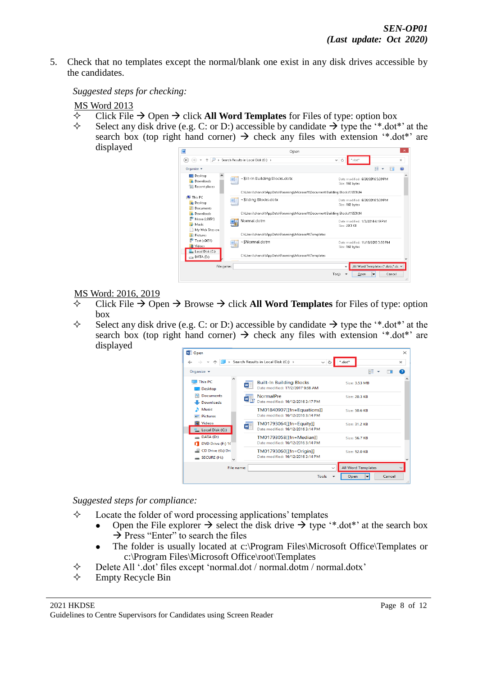5. Check that no templates except the normal/blank one exist in any disk drives accessible by the candidates.

*Suggested steps for checking:*

## MS Word 2013

- Click File → Open → click **All Word Templates** for Files of type: option box
- Select any disk drive (e.g. C: or D:) accessible by candidate  $\rightarrow$  type the '\*.dot\*' at the search box (top right hand corner)  $\rightarrow$  check any files with extension '\*.dot\*' are displayed

| W                                               | Open                                                                       | $\mathsf{x}$                                                               |  |  |
|-------------------------------------------------|----------------------------------------------------------------------------|----------------------------------------------------------------------------|--|--|
| ∈                                               | Search Results in Local Disk (C:) >                                        | Ċ<br>*.dot'<br>$\omega$<br>$\times$                                        |  |  |
| Organize $\blacktriangleright$                  |                                                                            | 睚<br>⋒                                                                     |  |  |
| ^<br>Desktop<br>Downloads<br>H<br>Recent places | ~\$ilt-In Building Blocks.dotx<br>W                                        | Date modified: 6/28/2016 5:39 PM<br>Size: 162 bytes                        |  |  |
|                                                 | C:\Users\chanck\AppData\Roaming\Microsoft\Document Building Blocks\1033\14 |                                                                            |  |  |
| ٠E<br>This PC<br><b>Desktop</b><br>Documents    | ~ \$ilding Blocks.dotx<br>W                                                | Date modified: 6/28/2016 5:39 PM<br>Size: 162 bytes                        |  |  |
| Downloads                                       |                                                                            | C:\Users\chanck\AppData\Roaming\Microsoft\Document Building Blocks\1033\14 |  |  |
| hkeaa (c0651)<br>Music                          | Normal.dotm                                                                | Date modified: 1/3/2014 4:19 PM<br>Size: 20.3 KB                           |  |  |
| My Web Sites on<br>Е<br><b>Pictures</b>         | C:\Users\chanck\AppData\Roaminq\Microsoft\Templates                        |                                                                            |  |  |
| Test (c0651)<br><b>M</b> Videos                 | ~\$Normal.dotm                                                             | Date modified: 11/18/2013 3:58 PM<br>Size: 162 bytes                       |  |  |
| Local Disk (C:)<br>$\Box$ DATA (D:)             | C:\Users\chanck\AppData\Roaming\Microsoft\Templates                        |                                                                            |  |  |
| File name:                                      |                                                                            | All Word Templates (".dobc".dc \<br>v                                      |  |  |
|                                                 |                                                                            | Tools<br>Cancel<br>Open<br>lv<br>$\mathbf{H}$                              |  |  |

#### MS Word: 2016, 2019

- Click File → Open → Browse → click **All Word Templates** for Files of type: option box
- $\Diamond$  Select any disk drive (e.g. C: or D:) accessible by candidate  $\rightarrow$  type the '\*.dot\*' at the search box (top right hand corner)  $\rightarrow$  check any files with extension '\*.dot\*' are displayed

| <b>WE</b> Open                        |                                                                                           | $\times$ |
|---------------------------------------|-------------------------------------------------------------------------------------------|----------|
|                                       | Search Results in Local Disk (C:) ><br>*.dot*<br>Ō<br>$\checkmark$                        | $\times$ |
| Organize $\blacktriangleright$        | 龍 ・                                                                                       | Q        |
| <b>This PC</b><br>Desktop             | <b>Built-In Building Blocks</b><br>Size: 3.53 MB<br>W<br>Date modified: 17/2/2017 9:38 AM |          |
| <b>Documents</b><br>自<br>Downloads    | NormalPre<br>Size: 20.3 KB<br>Date modified: 16/12/2016 3:17 PM                           |          |
| Music<br>$=$ Pictures                 | TM01840907[[fn=Equations]]<br>Size: 50.6 KB<br>Date modified: 16/12/2016 3:14 PM          |          |
| <b>W</b> Videos<br>. Local Disk (C:)  | TM01793064[[fn=Equity]]<br>Size: 31.2 KB<br>W<br>Date modified: 16/12/2016 3:14 PM        |          |
| $\Box$ DATA (D:)<br>DVD Drive (F:) 16 | TM01793058[[fn=Median]]<br>Size: 56.7 KB<br>Date modified: 16/12/2016 3:14 PM             |          |
| CD Drive (G:) Dri<br>SECURE(H)        | TM01793060[[fn=Origin]]<br>Size: 52.0 KB<br>Date modified: 16/12/2016 3:14 PM             |          |
| File name:                            | <b>All Word Templates</b><br>$\checkmark$                                                 |          |
|                                       | <b>Tools</b><br>Cancel<br>Open                                                            |          |

*Suggested steps for compliance:*

- $\Diamond$  Locate the folder of word processing applications' templates
	- Open the File explorer  $\rightarrow$  select the disk drive  $\rightarrow$  type '\*.dot\*' at the search box  $\rightarrow$  Press "Enter" to search the files
	- The folder is usually located at c:\Program Files\Microsoft Office\Templates or c:\Program Files\Microsoft Office\root\Templates
- Delete All '.dot' files except 'normal.dot / normal.dotm / normal.dotx'
- $\Diamond$  Empty Recycle Bin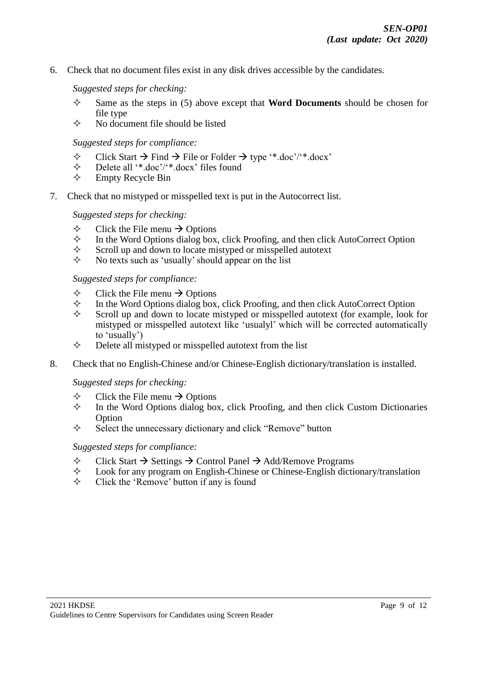6. Check that no document files exist in any disk drives accessible by the candidates.

#### *Suggested steps for checking:*

- $\Diamond$  Same as the steps in (5) above except that **Word Documents** should be chosen for file type
- $\Diamond$  No document file should be listed

#### *Suggested steps for compliance:*

- $\diamond$  Click Start  $\rightarrow$  Find  $\rightarrow$  File or Folder  $\rightarrow$  type '\*.doc'/'\*.docx'<br>  $\diamond$  Delete all '\*.doc'/'\*.docx' files found
- $\diamond$  Delete all '\*.doc'/'\*.docx' files found<br>  $\diamond$  Empty Recycle Bin
- Empty Recycle Bin
- 7. Check that no mistyped or misspelled text is put in the Autocorrect list.

#### *Suggested steps for checking:*

- $\diamond$  Click the File menu  $\rightarrow$  Options<br>  $\diamond$  In the Word Options dialog box.
- $\Diamond$  In the Word Options dialog box, click Proofing, and then click AutoCorrect Option Scroll up and down to locate mistyped or misspelled autotext
- $\diamond$  Scroll up and down to locate mistyped or misspelled autotext<br>  $\diamond$  No texts such as 'usually' should appear on the list
- No texts such as 'usually' should appear on the list

#### *Suggested steps for compliance:*

- $\diamond$  Click the File menu  $\rightarrow$  Options<br>  $\diamond$  In the Word Options dialog box.
- $\Diamond$  In the Word Options dialog box, click Proofing, and then click AutoCorrect Option Scroll up and down to locate mistyped or misspelled autotext (for example look)
- Scroll up and down to locate mistyped or misspelled autotext (for example, look for mistyped or misspelled autotext like 'usualyl' which will be corrected automatically to 'usually')
- $\Diamond$  Delete all mistyped or misspelled autotext from the list
- 8. Check that no English-Chinese and/or Chinese-English dictionary/translation is installed.

#### *Suggested steps for checking:*

- $\diamond$  Click the File menu  $\rightarrow$  Options<br>  $\diamond$  In the Word Options dialog box
- In the Word Options dialog box, click Proofing, and then click Custom Dictionaries **Option**
- $\Diamond$  Select the unnecessary dictionary and click "Remove" button

#### *Suggested steps for compliance:*

- $\Diamond$  Click Start  $\rightarrow$  Settings  $\rightarrow$  Control Panel  $\rightarrow$  Add/Remove Programs
- $\diamond$  Look for any program on English-Chinese or Chinese-English dictionary/translation  $\diamond$  Click the 'Remove' button if any is found
- Click the 'Remove' button if any is found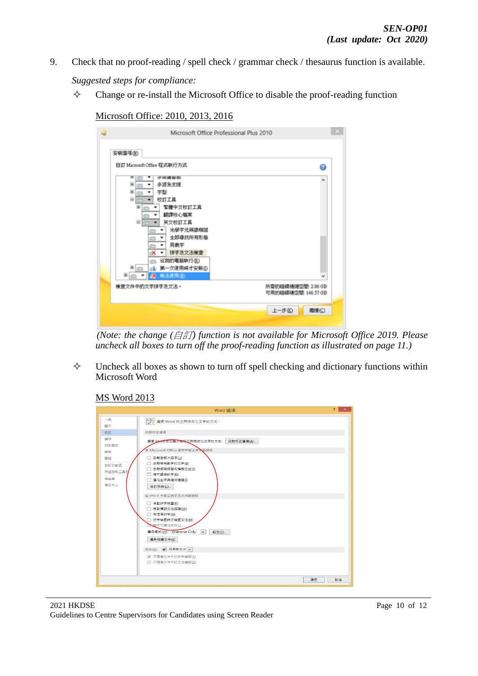- 9. Check that no proof-reading / spell check / grammar check / thesaurus function is available. *Suggested steps for compliance:*
	- $\Diamond$  Change or re-install the Microsoft Office to disable the proof-reading function

Microsoft Office: 2010, 2013, 2016

| a | Microsoft Office Professional Plus 2010                                                                                                                                                                                                            |                                           |
|---|----------------------------------------------------------------------------------------------------------------------------------------------------------------------------------------------------------------------------------------------------|-------------------------------------------|
|   | 安装灌填(N)<br>自訂 Microsoft Office 程式執行方式<br>œ<br>受到腹股形<br>œ<br>多语杂支援<br>e<br>田<br>字型<br>٠<br>Θ<br>校訂工具<br>固<br>緊接中文校訂工具<br>翻譯格心權案<br>Θ<br>英文校訂工具<br>٠<br>光學字元蒔語模組<br>œ<br>全部母找所有形態<br>٠<br>œ<br>同義字<br>٠<br>e<br>拼字及文法検査<br>∝<br>۰<br>従我的電腦軌行(R)<br>e | ๏<br>۸                                    |
|   | 第一次使用時才安裝①<br>®∣⇔<br>пħ<br>無法使用(N)<br>×<br>≅ ⊫<br>梳查文件中的文字拼字及文法。                                                                                                                                                                                   | 所需的磁碟機線空間: 2.86 GB<br>可用的磁碟摄空器: 146.57 GB |
|   |                                                                                                                                                                                                                                                    | 上一步区)<br>離情(C)                            |

*(Note: the change (*自訂*) function is not available for Microsoft Office 2019. Please uncheck all boxes to turn off the proof-reading function as illustrated on page 11.)* 

 $\Diamond$  Uncheck all boxes as shown to turn off spell checking and dictionary functions within Microsoft Word

# MS Word 2013

|                                                           | Word 選項                                                                                                                                                                                                                                                                                                                                                                                | $\overline{?}$<br>$\mathbf{x}$ |
|-----------------------------------------------------------|----------------------------------------------------------------------------------------------------------------------------------------------------------------------------------------------------------------------------------------------------------------------------------------------------------------------------------------------------------------------------------------|--------------------------------|
| $-82$<br>题示                                               | ABC 變更 Word 校正與植式化文字的方式。                                                                                                                                                                                                                                                                                                                                                               |                                |
| 校訂                                                        | 自動校正選項                                                                                                                                                                                                                                                                                                                                                                                 |                                |
| 儲存<br>印刷楼式<br>語言<br>進隆<br>自訂功能區<br>快速存取工具列<br>増益集<br>信任中心 | 自動校正選項(A)<br>變更 Word 在您翻入時校正與格式化文字的方式:<br>在 Microsoft Office 程式中修正拼入错誤時<br>□ 忽略全部大寫字(U)<br>□ 忽略蒂有數字的文字(B)<br>□ 忽略網際網路和樞霉位址(F)<br>□ 標示重複的字(R)<br>□ 僅從主字典提供建議(1)<br>自訂字典(C)<br>在 Word 中修正拼字及文法錯誤時<br>□ 自動拼字檢查(P)<br>□ 自動標記文法錯誤(M)<br>□ 常混淆的字(N)<br>□ 拼字檢查時亦檢查文法(H)<br><b>一部示可請性統計(L)</b><br>書寫樣式(W): Grammar Only<br>設定(D<br>$\vee$<br>重新检查文件(K)<br>例外(X): 图 所有新文件 v<br>√ 只隱藏文件中的拼字錯誤(S) |                                |
|                                                           | □ 只隱藏文件中的文法錯誤(D)                                                                                                                                                                                                                                                                                                                                                                       |                                |
|                                                           |                                                                                                                                                                                                                                                                                                                                                                                        |                                |
|                                                           | 確定                                                                                                                                                                                                                                                                                                                                                                                     | 取演                             |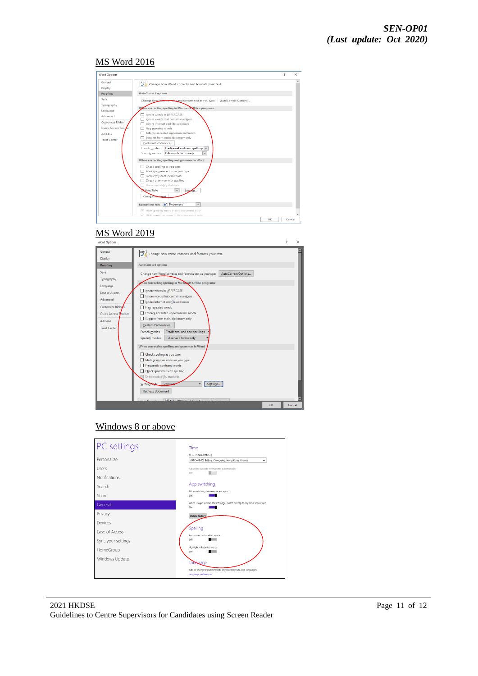#### MS Word 2016



# MS Word 2019



## Windows 8 or above